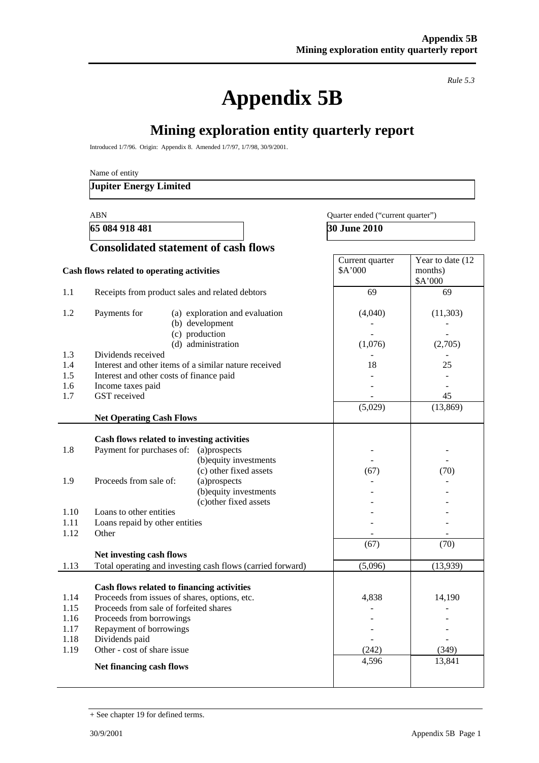**Appendix 5B** 

*Rule 5.3* 

Year to date  $(12)$ 

# **Mining exploration entity quarterly report**

Introduced 1/7/96. Origin: Appendix 8. Amended 1/7/97, 1/7/98, 30/9/2001.

Name of entity

#### **Jupiter Energy Limited**

**65 084 918 481** 30 June 2010

#### ABN Quarter ended ("current quarter")

Current quarter

# **Consolidated statement of cash flows**

|      | Cash flows related to operating activities                 | \$A'000 | months)        |
|------|------------------------------------------------------------|---------|----------------|
| 1.1  | Receipts from product sales and related debtors            | 69      | \$A'000<br>69  |
|      |                                                            |         |                |
| 1.2  | Payments for<br>(a) exploration and evaluation             | (4,040) | (11,303)       |
|      | (b) development                                            |         |                |
|      | (c) production                                             |         |                |
|      | (d) administration                                         | (1,076) | (2,705)        |
| 1.3  | Dividends received                                         |         |                |
| 1.4  | Interest and other items of a similar nature received      | 18      | 25             |
| 1.5  | Interest and other costs of finance paid                   |         |                |
| 1.6  | Income taxes paid                                          |         |                |
| 1.7  | GST received                                               |         | 45             |
|      |                                                            | (5,029) | (13, 869)      |
|      | <b>Net Operating Cash Flows</b>                            |         |                |
|      |                                                            |         |                |
|      | Cash flows related to investing activities                 |         |                |
| 1.8  | Payment for purchases of:<br>(a)prospects                  |         |                |
|      | (b) equity investments                                     |         |                |
|      | (c) other fixed assets                                     | (67)    | (70)           |
| 1.9  | Proceeds from sale of:<br>(a)prospects                     |         |                |
|      | (b) equity investments                                     |         |                |
| 1.10 | (c) other fixed assets<br>Loans to other entities          |         |                |
| 1.11 | Loans repaid by other entities                             |         |                |
| 1.12 | Other                                                      |         |                |
|      |                                                            | (67)    | (70)           |
|      | Net investing cash flows                                   |         |                |
| 1.13 | Total operating and investing cash flows (carried forward) | (5,096) | (13,939)       |
|      |                                                            |         |                |
|      | Cash flows related to financing activities                 |         |                |
| 1.14 | Proceeds from issues of shares, options, etc.              | 4,838   | 14,190         |
| 1.15 | Proceeds from sale of forfeited shares                     |         |                |
| 1.16 | Proceeds from borrowings                                   |         |                |
| 1.17 | Repayment of borrowings                                    |         |                |
| 1.18 | Dividends paid                                             |         | $\overline{a}$ |
| 1.19 | Other - cost of share issue                                | (242)   | (349)          |
|      | Net financing cash flows                                   | 4,596   | 13,841         |
|      |                                                            |         |                |

<sup>+</sup> See chapter 19 for defined terms.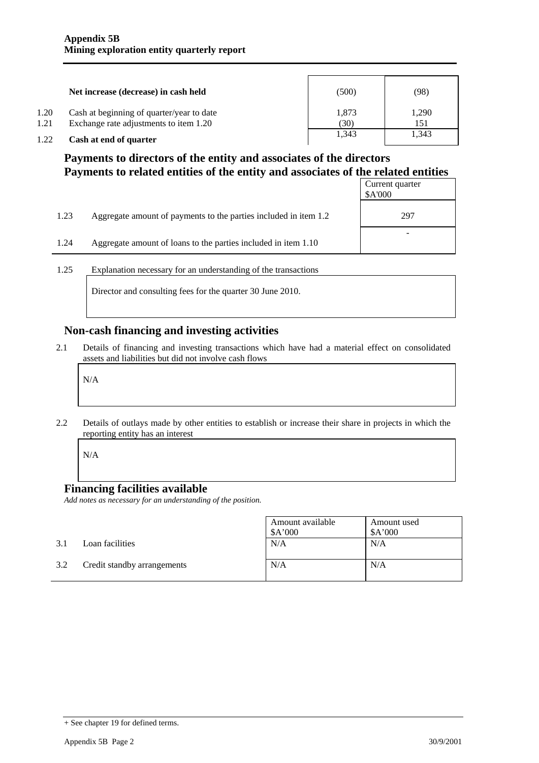|      | Net increase (decrease) in cash held      | (500) | (98)  |
|------|-------------------------------------------|-------|-------|
| 1.20 | Cash at beginning of quarter/year to date | 1,873 | 1,290 |
| 1.21 | Exchange rate adjustments to item 1.20    | (30)  | 151   |
| 1.22 | Cash at end of quarter                    | 1.343 | 1,343 |

### **Payments to directors of the entity and associates of the directors Payments to related entities of the entity and associates of the related entities**

|      |                                                                  | Current quarter<br>\$A'000 |
|------|------------------------------------------------------------------|----------------------------|
| 1.23 | Aggregate amount of payments to the parties included in item 1.2 | 297                        |
| 1.24 | Aggregate amount of loans to the parties included in item 1.10   |                            |

1.25 Explanation necessary for an understanding of the transactions

Director and consulting fees for the quarter 30 June 2010.

### **Non-cash financing and investing activities**

2.1 Details of financing and investing transactions which have had a material effect on consolidated assets and liabilities but did not involve cash flows

N/A

2.2 Details of outlays made by other entities to establish or increase their share in projects in which the reporting entity has an interest

N/A

### **Financing facilities available**

*Add notes as necessary for an understanding of the position.* 

|     |                             | Amount available<br>\$A'000 | Amount used<br>\$A'000 |
|-----|-----------------------------|-----------------------------|------------------------|
| 3.1 | Loan facilities             | N/A                         | N/A                    |
| 3.2 | Credit standby arrangements | N/A                         | N/A                    |

<sup>+</sup> See chapter 19 for defined terms.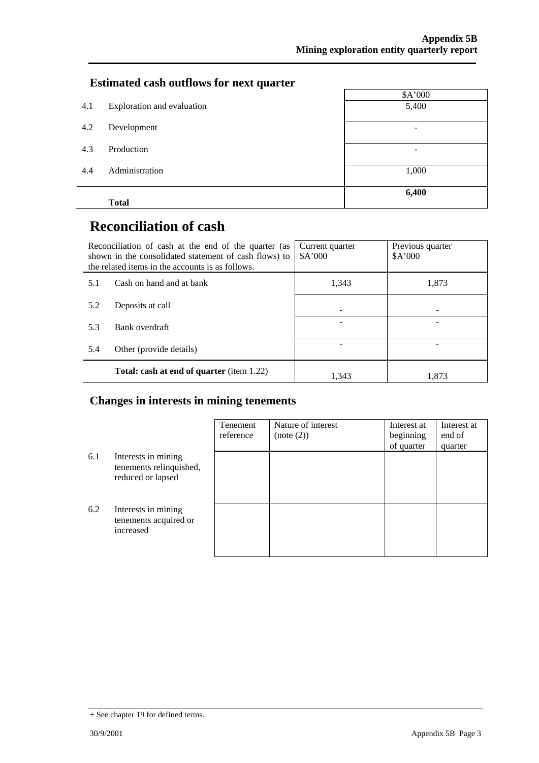### **Estimated cash outflows for next quarter**

|     | <b>Total</b>               | 6,400                    |
|-----|----------------------------|--------------------------|
| 4.4 | Administration             | 1,000                    |
| 4.3 | Production                 | $\overline{\phantom{0}}$ |
| 4.2 | Development                | $\overline{\phantom{0}}$ |
| 4.1 | Exploration and evaluation | 5,400                    |
|     |                            | \$A'000                  |

# **Reconciliation of cash**

|     | Reconciliation of cash at the end of the quarter (as<br>shown in the consolidated statement of cash flows) to<br>the related items in the accounts is as follows. | Current quarter<br>A'000 | Previous quarter<br>A'000 |
|-----|-------------------------------------------------------------------------------------------------------------------------------------------------------------------|--------------------------|---------------------------|
| 5.1 | Cash on hand and at bank                                                                                                                                          | 1,343                    | 1,873                     |
| 5.2 | Deposits at call                                                                                                                                                  |                          |                           |
| 5.3 | Bank overdraft                                                                                                                                                    |                          |                           |
| 5.4 | Other (provide details)                                                                                                                                           |                          |                           |
|     | <b>Total: cash at end of quarter</b> (item 1.22)                                                                                                                  | 1.343                    | 1.873                     |

### **Changes in interests in mining tenements**

|     |                                                                     | Tenement<br>reference | Nature of interest<br>(note (2)) | Interest at<br>beginning<br>of quarter | Interest at<br>end of<br>quarter |
|-----|---------------------------------------------------------------------|-----------------------|----------------------------------|----------------------------------------|----------------------------------|
| 6.1 | Interests in mining<br>tenements relinquished,<br>reduced or lapsed |                       |                                  |                                        |                                  |
| 6.2 | Interests in mining<br>tenements acquired or<br>increased           |                       |                                  |                                        |                                  |

<sup>+</sup> See chapter 19 for defined terms.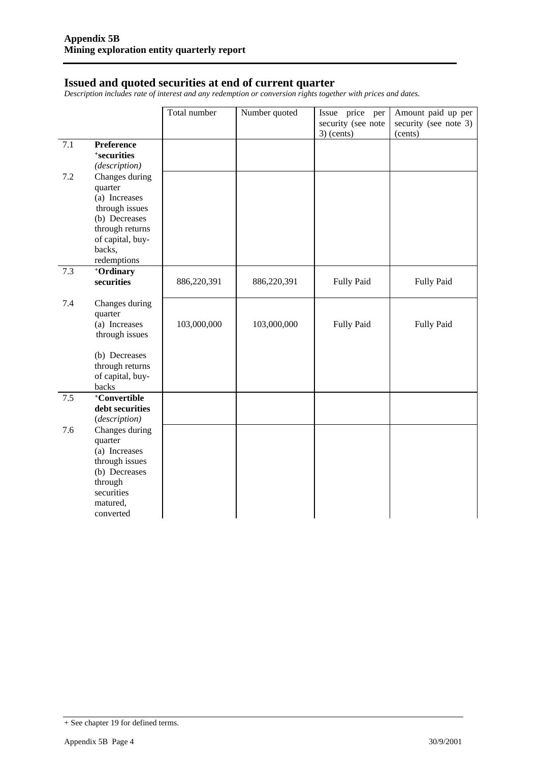#### **Issued and quoted securities at end of current quarter**

*Description includes rate of interest and any redemption or conversion rights together with prices and dates.* 

|     |                                                                                                                                 | Total number | Number quoted | Issue price<br>per<br>security (see note<br>$3)$ (cents) | Amount paid up per<br>security (see note 3)<br>(cents) |
|-----|---------------------------------------------------------------------------------------------------------------------------------|--------------|---------------|----------------------------------------------------------|--------------------------------------------------------|
| 7.1 | <b>Preference</b><br>+securities<br>(description)                                                                               |              |               |                                                          |                                                        |
| 7.2 | Changes during<br>quarter<br>(a) Increases<br>through issues<br>(b) Decreases                                                   |              |               |                                                          |                                                        |
|     | through returns<br>of capital, buy-<br>backs,<br>redemptions                                                                    |              |               |                                                          |                                                        |
| 7.3 | +Ordinary<br>securities                                                                                                         | 886,220,391  | 886,220,391   | <b>Fully Paid</b>                                        | <b>Fully Paid</b>                                      |
| 7.4 | Changes during<br>quarter<br>(a) Increases<br>through issues<br>(b) Decreases                                                   | 103,000,000  | 103,000,000   | Fully Paid                                               | Fully Paid                                             |
|     | through returns<br>of capital, buy-<br>backs                                                                                    |              |               |                                                          |                                                        |
| 7.5 | +Convertible<br>debt securities<br>(description)                                                                                |              |               |                                                          |                                                        |
| 7.6 | Changes during<br>quarter<br>(a) Increases<br>through issues<br>(b) Decreases<br>through<br>securities<br>matured,<br>converted |              |               |                                                          |                                                        |

<sup>+</sup> See chapter 19 for defined terms.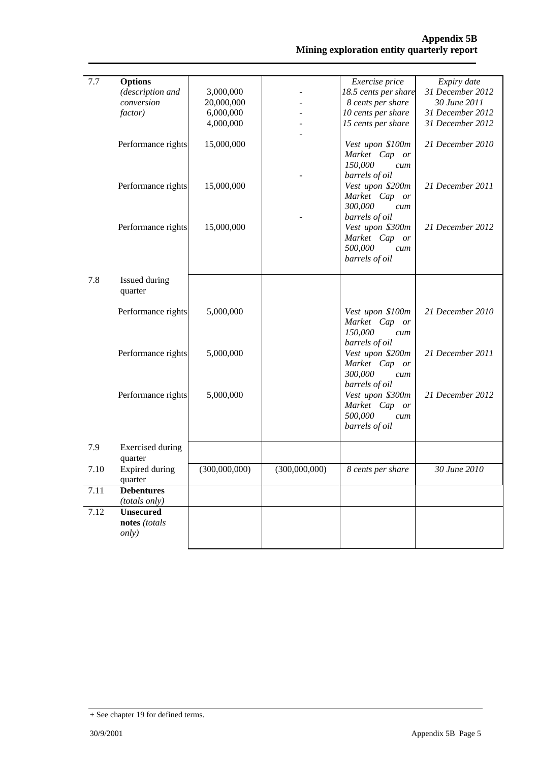| 7.7  | <b>Options</b>          |               |               | Exercise price       | Expiry date      |
|------|-------------------------|---------------|---------------|----------------------|------------------|
|      | (description and        | 3,000,000     |               | 18.5 cents per share | 31 December 2012 |
|      | conversion              | 20,000,000    |               | 8 cents per share    | 30 June 2011     |
|      | factor)                 | 6,000,000     |               | 10 cents per share   | 31 December 2012 |
|      |                         | 4,000,000     |               | 15 cents per share   | 31 December 2012 |
|      |                         |               |               |                      |                  |
|      | Performance rights      | 15,000,000    |               | Vest upon \$100m     | 21 December 2010 |
|      |                         |               |               | Market Cap or        |                  |
|      |                         |               |               |                      |                  |
|      |                         |               |               | 150,000<br>cum       |                  |
|      |                         |               |               | barrels of oil       |                  |
|      | Performance rights      | 15,000,000    |               | Vest upon \$200m     | 21 December 2011 |
|      |                         |               |               | Market Cap or        |                  |
|      |                         |               |               | 300,000<br>cum       |                  |
|      |                         |               |               | barrels of oil       |                  |
|      | Performance rights      | 15,000,000    |               | Vest upon \$300m     | 21 December 2012 |
|      |                         |               |               | Market Cap or        |                  |
|      |                         |               |               | 500,000<br>cum       |                  |
|      |                         |               |               | barrels of oil       |                  |
|      |                         |               |               |                      |                  |
| 7.8  | Issued during           |               |               |                      |                  |
|      |                         |               |               |                      |                  |
|      | quarter                 |               |               |                      |                  |
|      |                         |               |               |                      |                  |
|      | Performance rights      | 5,000,000     |               | Vest upon \$100m     | 21 December 2010 |
|      |                         |               |               | Market Cap or        |                  |
|      |                         |               |               | 150,000<br>cum       |                  |
|      |                         |               |               | barrels of oil       |                  |
|      | Performance rights      | 5,000,000     |               | Vest upon \$200m     | 21 December 2011 |
|      |                         |               |               | Market Cap<br>or     |                  |
|      |                         |               |               | 300,000<br>cum       |                  |
|      |                         |               |               | barrels of oil       |                  |
|      | Performance rights      | 5,000,000     |               | Vest upon \$300m     | 21 December 2012 |
|      |                         |               |               | Market Cap or        |                  |
|      |                         |               |               | 500,000              |                  |
|      |                         |               |               | cum                  |                  |
|      |                         |               |               | barrels of oil       |                  |
|      |                         |               |               |                      |                  |
| 7.9  | <b>Exercised</b> during |               |               |                      |                  |
|      | quarter                 |               |               |                      |                  |
| 7.10 | Expired during          | (300,000,000) | (300,000,000) | 8 cents per share    | 30 June 2010     |
|      | quarter                 |               |               |                      |                  |
| 7.11 | <b>Debentures</b>       |               |               |                      |                  |
|      | (totals only)           |               |               |                      |                  |
| 7.12 | <b>Unsecured</b>        |               |               |                      |                  |
|      | notes (totals           |               |               |                      |                  |
|      | only)                   |               |               |                      |                  |
|      |                         |               |               |                      |                  |
|      |                         |               |               |                      |                  |

<sup>+</sup> See chapter 19 for defined terms.